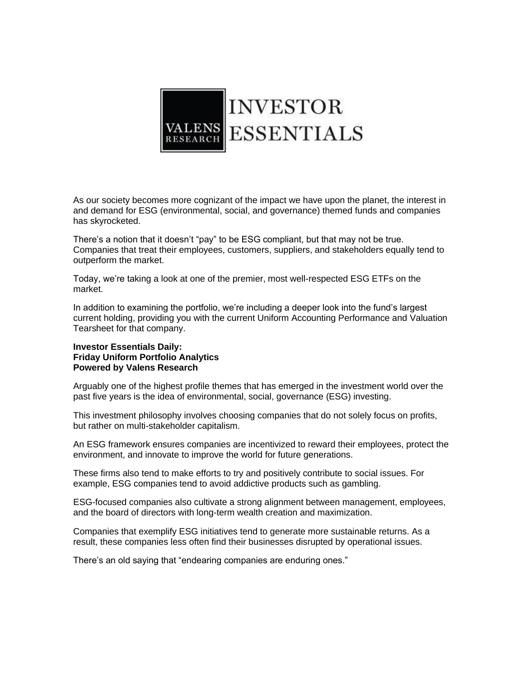

As our society becomes more cognizant of the impact we have upon the planet, the interest in and demand for ESG (environmental, social, and governance) themed funds and companies has skyrocketed.

There's a notion that it doesn't "pay" to be ESG compliant, but that may not be true. Companies that treat their employees, customers, suppliers, and stakeholders equally tend to outperform the market.

Today, we're taking a look at one of the premier, most well-respected ESG ETFs on the market.

In addition to examining the portfolio, we're including a deeper look into the fund's largest current holding, providing you with the current Uniform Accounting Performance and Valuation Tearsheet for that company.

## **Investor Essentials Daily: Friday Uniform Portfolio Analytics Powered by Valens Research**

Arguably one of the highest profile themes that has emerged in the investment world over the past five years is the idea of environmental, social, governance (ESG) investing.

This investment philosophy involves choosing companies that do not solely focus on profits, but rather on multi-stakeholder capitalism.

An ESG framework ensures companies are incentivized to reward their employees, protect the environment, and innovate to improve the world for future generations.

These firms also tend to make efforts to try and positively contribute to social issues. For example, ESG companies tend to avoid addictive products such as gambling.

ESG-focused companies also cultivate a strong alignment between management, employees, and the board of directors with long-term wealth creation and maximization.

Companies that exemplify ESG initiatives tend to generate more sustainable returns. As a result, these companies less often find their businesses disrupted by operational issues.

There's an old saying that "endearing companies are enduring ones."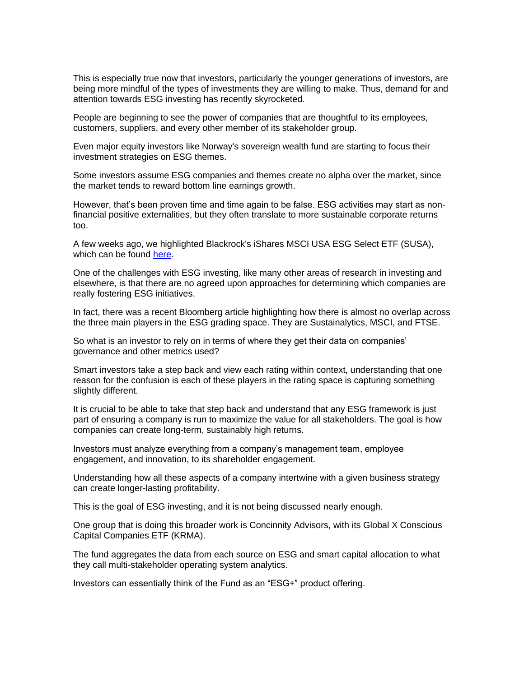This is especially true now that investors, particularly the younger generations of investors, are being more mindful of the types of investments they are willing to make. Thus, demand for and attention towards ESG investing has recently skyrocketed.

People are beginning to see the power of companies that are thoughtful to its employees, customers, suppliers, and every other member of its stakeholder group.

Even major equity investors like Norway's sovereign wealth fund are starting to focus their investment strategies on ESG themes.

Some investors assume ESG companies and themes create no alpha over the market, since the market tends to reward bottom line earnings growth.

However, that's been proven time and time again to be false. ESG activities may start as nonfinancial positive externalities, but they often translate to more sustainable corporate returns too.

A few weeks ago, we highlighted Blackrock's iShares MSCI USA ESG Select ETF (SUSA), which can be found [here.](https://valens-research.us10.list-manage.com/track/click?u=657a38fea77d07feeaca80566&id=cd3b8f2310&e=aa755c1ea4)

One of the challenges with ESG investing, like many other areas of research in investing and elsewhere, is that there are no agreed upon approaches for determining which companies are really fostering ESG initiatives.

In fact, there was a recent Bloomberg article highlighting how there is almost no overlap across the three main players in the ESG grading space. They are Sustainalytics, MSCI, and FTSE.

So what is an investor to rely on in terms of where they get their data on companies' governance and other metrics used?

Smart investors take a step back and view each rating within context, understanding that one reason for the confusion is each of these players in the rating space is capturing something slightly different.

It is crucial to be able to take that step back and understand that any ESG framework is just part of ensuring a company is run to maximize the value for all stakeholders. The goal is how companies can create long-term, sustainably high returns.

Investors must analyze everything from a company's management team, employee engagement, and innovation, to its shareholder engagement.

Understanding how all these aspects of a company intertwine with a given business strategy can create longer-lasting profitability.

This is the goal of ESG investing, and it is not being discussed nearly enough.

One group that is doing this broader work is Concinnity Advisors, with its Global X Conscious Capital Companies ETF (KRMA).

The fund aggregates the data from each source on ESG and smart capital allocation to what they call multi-stakeholder operating system analytics.

Investors can essentially think of the Fund as an "ESG+" product offering.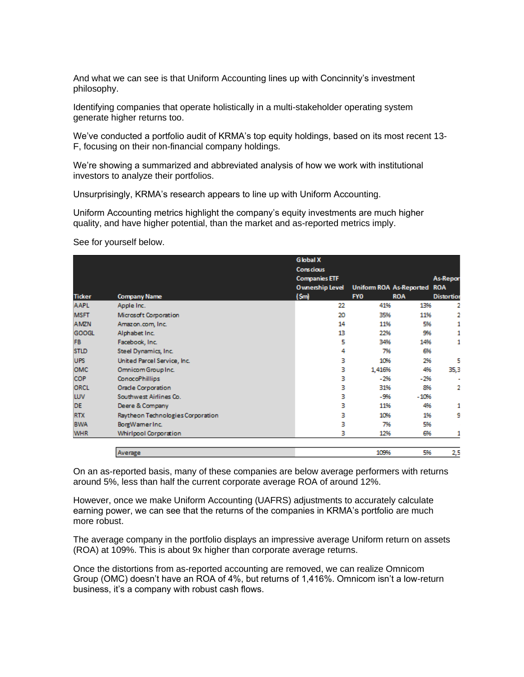And what we can see is that Uniform Accounting lines up with Concinnity's investment philosophy.

Identifying companies that operate holistically in a multi-stakeholder operating system generate higher returns too.

We've conducted a portfolio audit of KRMA's top equity holdings, based on its most recent 13- F, focusing on their non-financial company holdings.

We're showing a summarized and abbreviated analysis of how we work with institutional investors to analyze their portfolios.

Unsurprisingly, KRMA's research appears to line up with Uniform Accounting.

Uniform Accounting metrics highlight the company's equity investments are much higher quality, and have higher potential, than the market and as-reported metrics imply.

See for yourself below.

|               |                                   | <b>Global X</b>        |                                |            |                   |
|---------------|-----------------------------------|------------------------|--------------------------------|------------|-------------------|
|               |                                   | <b>Conscious</b>       |                                |            | <b>As-Repor</b>   |
|               |                                   | <b>Companies ETF</b>   |                                |            |                   |
|               |                                   | <b>Ownership Level</b> | <b>Uniform ROA As-Reported</b> |            | <b>ROA</b>        |
| <b>Ticker</b> | <b>Company Name</b>               | (Sm)                   | <b>FYO</b>                     | <b>ROA</b> | <b>Distortion</b> |
| <b>AAPL</b>   | Apple Inc.                        | 22                     | 41%                            | 13%        | 2                 |
| <b>MSFT</b>   | Microsoft Corporation             | 20                     | 35%                            | 11%        | 2                 |
| <b>AMZN</b>   | Amazon.com, Inc.                  | 14                     | 11%                            | 5%         | 1                 |
| <b>GOOGL</b>  | Alphabet Inc.                     | 13                     | 22%                            | 9%         |                   |
| FB            | Facebook, Inc.                    | 5                      | 34%                            | 14%        | 1                 |
| <b>STLD</b>   | Steel Dynamics, Inc.              | 4                      | 7%                             | 6%         |                   |
| <b>UPS</b>    | United Parcel Service, Inc.       | з                      | 10%                            | 2%         | 5                 |
| OMC           | Omnicom Group Inc.                | з                      | 1,416%                         | 4%         | 35,3              |
| <b>COP</b>    | <b>ConocoPhillips</b>             | з                      | $-2%$                          | $-296$     |                   |
| ORCL          | Oracle Corporation                | з                      | 31%                            | 8%         | 2                 |
| LUV           | Southwest Airlines Co.            | з                      | -9%                            | $-10%$     |                   |
| DE            | Deere & Company                   | з                      | 11%                            | 4%         | 1                 |
| <b>RTX</b>    | Raytheon Technologies Corporation | з                      | 10%                            | 1%         | 9                 |
| <b>BWA</b>    | BorgWamerInc.                     | з                      | 7%                             | 5%         |                   |
| <b>WHR</b>    | <b>Whirlpool Corporation</b>      | з                      | 12%                            | 6%         | 1                 |
|               | Average                           |                        | 109%                           | 5%         | 2,5               |

On an as-reported basis, many of these companies are below average performers with returns around 5%, less than half the current corporate average ROA of around 12%.

However, once we make Uniform Accounting (UAFRS) adjustments to accurately calculate earning power, we can see that the returns of the companies in KRMA's portfolio are much more robust.

The average company in the portfolio displays an impressive average Uniform return on assets (ROA) at 109%. This is about 9x higher than corporate average returns.

Once the distortions from as-reported accounting are removed, we can realize Omnicom Group (OMC) doesn't have an ROA of 4%, but returns of 1,416%. Omnicom isn't a low-return business, it's a company with robust cash flows.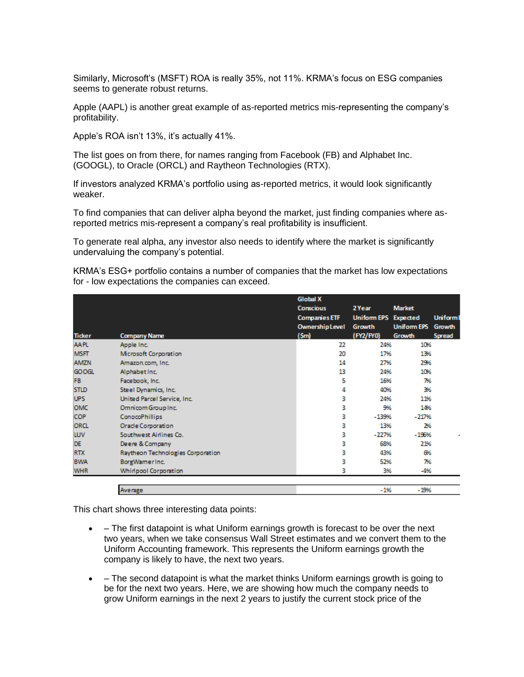Similarly, Microsoft's (MSFT) ROA is really 35%, not 11%. KRMA's focus on ESG companies seems to generate robust returns.

Apple (AAPL) is another great example of as-reported metrics mis-representing the company's profitability.

Apple's ROA isn't 13%, it's actually 41%.

The list goes on from there, for names ranging from Facebook (FB) and Alphabet Inc. (GOOGL), to Oracle (ORCL) and Raytheon Technologies (RTX).

If investors analyzed KRMA's portfolio using as-reported metrics, it would look significantly weaker.

To find companies that can deliver alpha beyond the market, just finding companies where asreported metrics mis-represent a company's real profitability is insufficient.

To generate real alpha, any investor also needs to identify where the market is significantly undervaluing the company's potential.

KRMA's ESG+ portfolio contains a number of companies that the market has low expectations for - low expectations the companies can exceed.

|               |                                   |  | <b>Global X</b>                          |                              |                    | <b>UniformE</b> |
|---------------|-----------------------------------|--|------------------------------------------|------------------------------|--------------------|-----------------|
|               |                                   |  | <b>Conscious</b><br><b>Companies ETF</b> | 2 Year<br><b>Uniform EPS</b> | <b>Market</b>      |                 |
|               |                                   |  |                                          |                              | <b>Expected</b>    |                 |
|               |                                   |  | <b>Ownership Level</b>                   | Growth                       | <b>Uniform EPS</b> | Growth          |
| <b>Ticker</b> | <b>Company Name</b>               |  | (Sm)                                     | (FY2/FY0)                    | Growth             | Spread          |
| <b>AAPL</b>   | Apple Inc.                        |  | 22                                       | 24%                          | 10%                |                 |
| <b>MSFT</b>   | Microsoft Corporation             |  | 20                                       | 17%                          | 13%                |                 |
| <b>AMZN</b>   | Amazon.com, Inc.                  |  | 14                                       | 27%                          | 29%                |                 |
| <b>GOOGL</b>  | Alphabet Inc.                     |  | 13                                       | 24%                          | 10%                |                 |
| FB            | Facebook, Inc.                    |  | 5                                        | 16%                          | 7%                 |                 |
| <b>STLD</b>   | Steel Dynamics, Inc.              |  | 4                                        | 40%                          | 3%                 |                 |
| <b>UPS</b>    | United Parcel Service, Inc.       |  | з                                        | 24%                          | 11%                |                 |
| OMC           | Omnicom Group Inc.                |  | 3                                        | 9%                           | 14%                |                 |
| COP           | <b>ConocoPhillips</b>             |  | 3                                        | $-139%$                      | $-217%$            |                 |
| <b>ORCL</b>   | Oracle Corporation                |  | 3                                        | 13%                          | 2%                 |                 |
| LUV           | Southwest Airlines Co.            |  | з                                        | $-227%$                      | $-196%$            |                 |
| DE            | Deere & Company                   |  | 3                                        | 68%                          | 21%                |                 |
| <b>RTX</b>    | Raytheon Technologies Corporation |  | 3                                        | 43%                          | ⊕6                 |                 |
| <b>BWA</b>    | BorgWamerInc.                     |  | 3                                        | 52%                          | 7%                 |                 |
| <b>WHR</b>    | <b>Whirlpool Corporation</b>      |  | 3                                        | 3%                           | $-4%$              |                 |
|               | Average                           |  |                                          | $-1%$                        | $-19%$             |                 |

This chart shows three interesting data points:

- – The first datapoint is what Uniform earnings growth is forecast to be over the next two years, when we take consensus Wall Street estimates and we convert them to the Uniform Accounting framework. This represents the Uniform earnings growth the company is likely to have, the next two years.
- – The second datapoint is what the market thinks Uniform earnings growth is going to be for the next two years. Here, we are showing how much the company needs to grow Uniform earnings in the next 2 years to justify the current stock price of the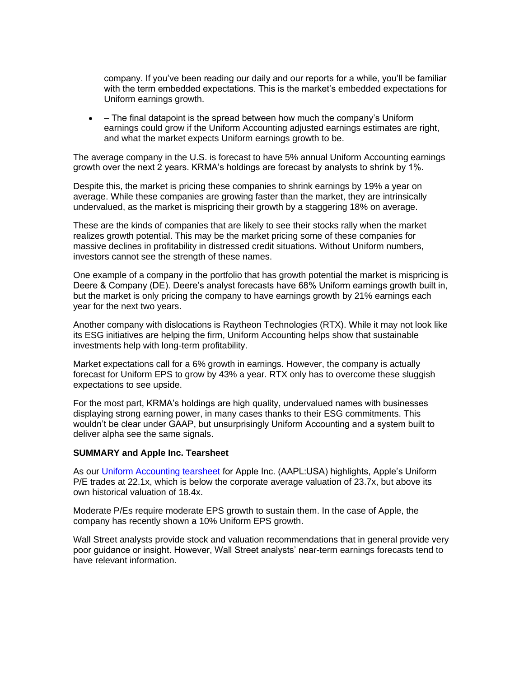company. If you've been reading our daily and our reports for a while, you'll be familiar with the term embedded expectations. This is the market's embedded expectations for Uniform earnings growth.

• – The final datapoint is the spread between how much the company's Uniform earnings could grow if the Uniform Accounting adjusted earnings estimates are right, and what the market expects Uniform earnings growth to be.

The average company in the U.S. is forecast to have 5% annual Uniform Accounting earnings growth over the next 2 years. KRMA's holdings are forecast by analysts to shrink by 1%.

Despite this, the market is pricing these companies to shrink earnings by 19% a year on average. While these companies are growing faster than the market, they are intrinsically undervalued, as the market is mispricing their growth by a staggering 18% on average.

These are the kinds of companies that are likely to see their stocks rally when the market realizes growth potential. This may be the market pricing some of these companies for massive declines in profitability in distressed credit situations. Without Uniform numbers, investors cannot see the strength of these names.

One example of a company in the portfolio that has growth potential the market is mispricing is Deere & Company (DE). Deere's analyst forecasts have 68% Uniform earnings growth built in, but the market is only pricing the company to have earnings growth by 21% earnings each year for the next two years.

Another company with dislocations is Raytheon Technologies (RTX). While it may not look like its ESG initiatives are helping the firm, Uniform Accounting helps show that sustainable investments help with long-term profitability.

Market expectations call for a 6% growth in earnings. However, the company is actually forecast for Uniform EPS to grow by 43% a year. RTX only has to overcome these sluggish expectations to see upside.

For the most part, KRMA's holdings are high quality, undervalued names with businesses displaying strong earning power, in many cases thanks to their ESG commitments. This wouldn't be clear under GAAP, but unsurprisingly Uniform Accounting and a system built to deliver alpha see the same signals.

## **SUMMARY and Apple Inc. Tearsheet**

As our [Uniform Accounting tearsheet](https://valens-research.us10.list-manage.com/track/click?u=657a38fea77d07feeaca80566&id=ca4604826e&e=aa755c1ea4) for Apple Inc. (AAPL:USA) highlights, Apple's Uniform P/E trades at 22.1x, which is below the corporate average valuation of 23.7x, but above its own historical valuation of 18.4x.

Moderate P/Es require moderate EPS growth to sustain them. In the case of Apple, the company has recently shown a 10% Uniform EPS growth.

Wall Street analysts provide stock and valuation recommendations that in general provide very poor guidance or insight. However, Wall Street analysts' near-term earnings forecasts tend to have relevant information.